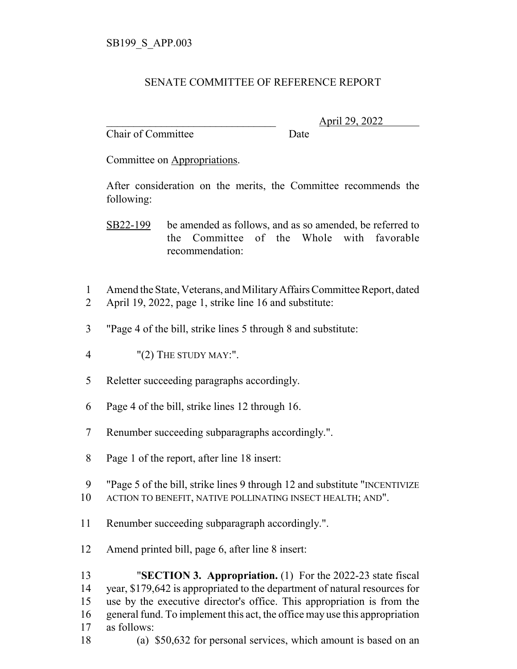## SENATE COMMITTEE OF REFERENCE REPORT

Chair of Committee Date

\_\_\_\_\_\_\_\_\_\_\_\_\_\_\_\_\_\_\_\_\_\_\_\_\_\_\_\_\_\_\_ April 29, 2022

Committee on Appropriations.

After consideration on the merits, the Committee recommends the following:

SB22-199 be amended as follows, and as so amended, be referred to the Committee of the Whole with favorable recommendation:

- Amend the State, Veterans, and Military Affairs Committee Report, dated
- April 19, 2022, page 1, strike line 16 and substitute:
- "Page 4 of the bill, strike lines 5 through 8 and substitute:
- "(2) THE STUDY MAY:".
- Reletter succeeding paragraphs accordingly.
- Page 4 of the bill, strike lines 12 through 16.
- Renumber succeeding subparagraphs accordingly.".
- Page 1 of the report, after line 18 insert:
- "Page 5 of the bill, strike lines 9 through 12 and substitute "INCENTIVIZE
- ACTION TO BENEFIT, NATIVE POLLINATING INSECT HEALTH; AND".
- Renumber succeeding subparagraph accordingly.".
- Amend printed bill, page 6, after line 8 insert:

 "**SECTION 3. Appropriation.** (1) For the 2022-23 state fiscal year, \$179,642 is appropriated to the department of natural resources for use by the executive director's office. This appropriation is from the general fund. To implement this act, the office may use this appropriation as follows:

(a) \$50,632 for personal services, which amount is based on an